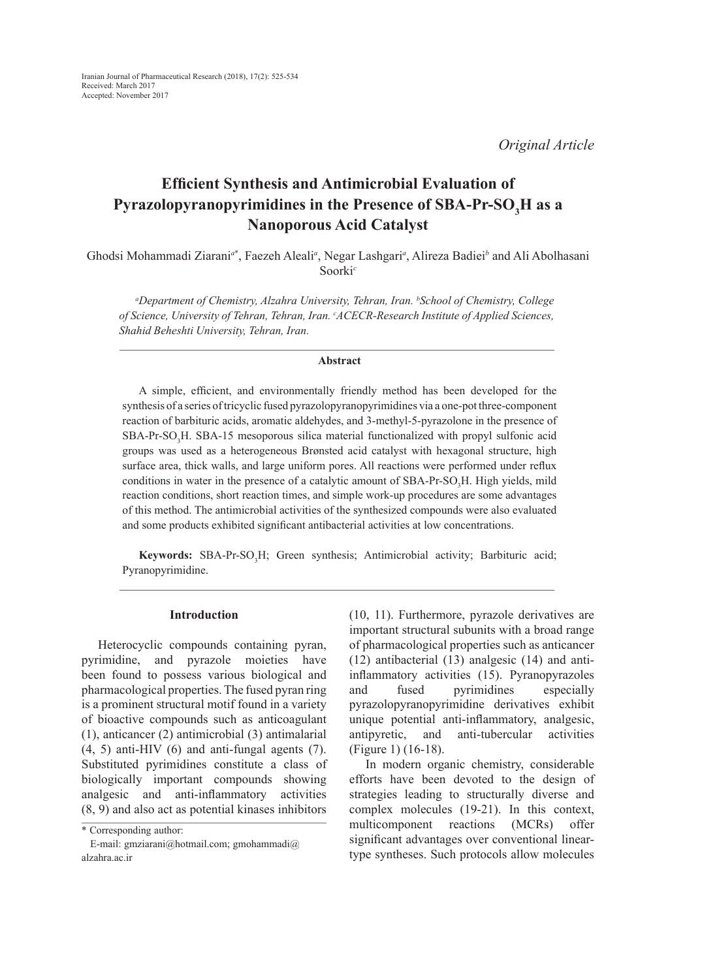*Original Article*

# **Efficient Synthesis and Antimicrobial Evaluation of Pyrazolopyranopyrimidines in the Presence of SBA-Pr-SO<sup>3</sup> H as a Nanoporous Acid Catalyst**

Ghodsi Mohammadi Ziarani*<sup>a</sup>*\* , Faezeh Aleali*<sup>a</sup>* , Negar Lashgari*<sup>a</sup>* , Alireza Badiei*<sup>b</sup>* and Ali Abolhasani Soorki*<sup>c</sup>*

*a Department of Chemistry, Alzahra University, Tehran, Iran. b School of Chemistry, College of Science, University of Tehran, Tehran, Iran. c ACECR-Research Institute of Applied Sciences, Shahid Beheshti University, Tehran, Iran.*

## **Abstract**

A simple, efficient, and environmentally friendly method has been developed for the synthesis of a series of tricyclic fused pyrazolopyranopyrimidines via a one-pot three-component reaction of barbituric acids, aromatic aldehydes, and 3-methyl-5-pyrazolone in the presence of  $SBA-Pr-SO<sub>3</sub>H$ .  $SBA-15$  mesoporous silica material functionalized with propyl sulfonic acid groups was used as a heterogeneous Brønsted acid catalyst with hexagonal structure, high surface area, thick walls, and large uniform pores. All reactions were performed under reflux conditions in water in the presence of a catalytic amount of  $SBA-Pr-SO<sub>3</sub>H$ . High yields, mild reaction conditions, short reaction times, and simple work-up procedures are some advantages of this method. The antimicrobial activities of the synthesized compounds were also evaluated and some products exhibited significant antibacterial activities at low concentrations.

**Keywords:** SBA-Pr-SO<sub>3</sub>H; Green synthesis; Antimicrobial activity; Barbituric acid; Pyranopyrimidine.

## **Introduction**

Heterocyclic compounds containing pyran, pyrimidine, and pyrazole moieties have been found to possess various biological and pharmacological properties. The fused pyran ring is a prominent structural motif found in a variety of bioactive compounds such as anticoagulant (1), anticancer (2) antimicrobial (3) antimalarial (4, 5) anti-HIV (6) and anti-fungal agents (7). Substituted pyrimidines constitute a class of biologically important compounds showing analgesic and anti-inflammatory activities (8, 9) and also act as potential kinases inhibitors

(10, 11). Furthermore, pyrazole derivatives are important structural subunits with a broad range of pharmacological properties such as anticancer (12) antibacterial (13) analgesic (14) and antiinflammatory activities (15). Pyranopyrazoles and fused pyrimidines especially pyrazolopyranopyrimidine derivatives exhibit unique potential anti-inflammatory, analgesic, antipyretic, and anti-tubercular activities (Figure 1) (16-18).

In modern organic chemistry, considerable efforts have been devoted to the design of strategies leading to structurally diverse and complex molecules (19-21). In this context, multicomponent reactions (MCRs) offer significant advantages over conventional lineartype syntheses. Such protocols allow molecules

<sup>\*</sup> Corresponding author:

E-mail: gmziarani@hotmail.com; gmohammadi@ alzahra.ac.ir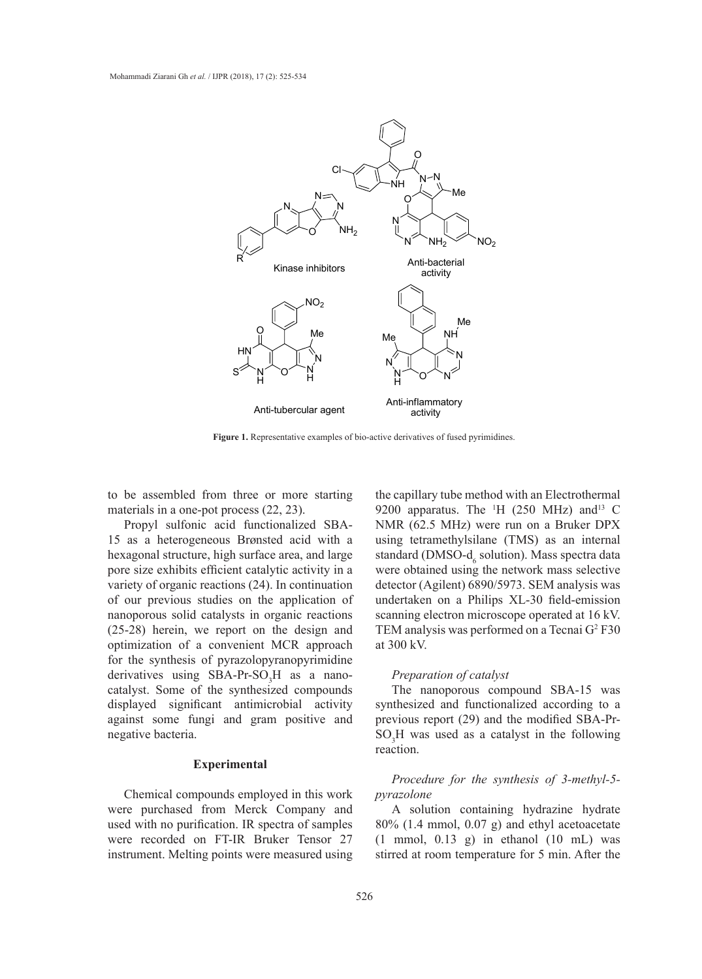

**Figure 1.** Representative examples of bio-active derivatives of fused pyrimidines.

to be assembled from three or more starting materials in a one-pot process (22, 23).

Propyl sulfonic acid functionalized SBA-15 as a heterogeneous Brønsted acid with a hexagonal structure, high surface area, and large pore size exhibits efficient catalytic activity in a variety of organic reactions (24). In continuation of our previous studies on the application of nanoporous solid catalysts in organic reactions (25-28) herein, we report on the design and optimization of a convenient MCR approach for the synthesis of pyrazolopyranopyrimidine derivatives using  $SBA-Pr-SO_3H$  as a nano $t_1$  reparation of catalyst. Some of the synthesized compounds The nanoporous compound SBAdisplayed significant antimicrobial activity against some fungi and gram positive and negative bacteria.

## **Experimental**

were purchased from Merck Company and used with no purification. IR spectra of samples were recorded on FT-IR Bruker Tensor 27 instrument. Melting points were measured using

bled from three or more starting the capillary tube method with an Electrothermal 9200 apparatus. The  $\rm{H}$  (250 MHz) and<sup>13</sup> C NMR (62.5 MHz) were run on a Bruker DPX using tetramethylsilane (TMS) as an internal standard (DMSO- $d_6$  solution). Mass spectra data were obtained using the network mass selective detector (Agilent) 6890/5973. SEM analysis was previous studies on the application of undertaken on a Philips XL-30 field-emission scanning electron microscope operated at 16 kV. herein, we report on the design and TEM analysis was performed on a Tecnai G<sup>2</sup> F30 at 300 kV.

### *Preparation of catalyst*

The nanoporous compound SBA-15 was synthesized and functionalized according to a previous report (29) and the modified SBA-Prbacteria.  $SO_3H$  was used as a catalyst in the following reaction.

#### Chemical compounds employed in this work pyrazolone *Procedure for the synthesis of 3-methyl-5 pyrazolone*

A solution containing hydrazine hydrate 80% (1.4 mmol, 0.07 g) and ethyl acetoacetate  $(1 \text{ mmol}, 0.13 \text{ g})$  in ethanol  $(10 \text{ mL})$  was stirred at room temperature for 5 min. After the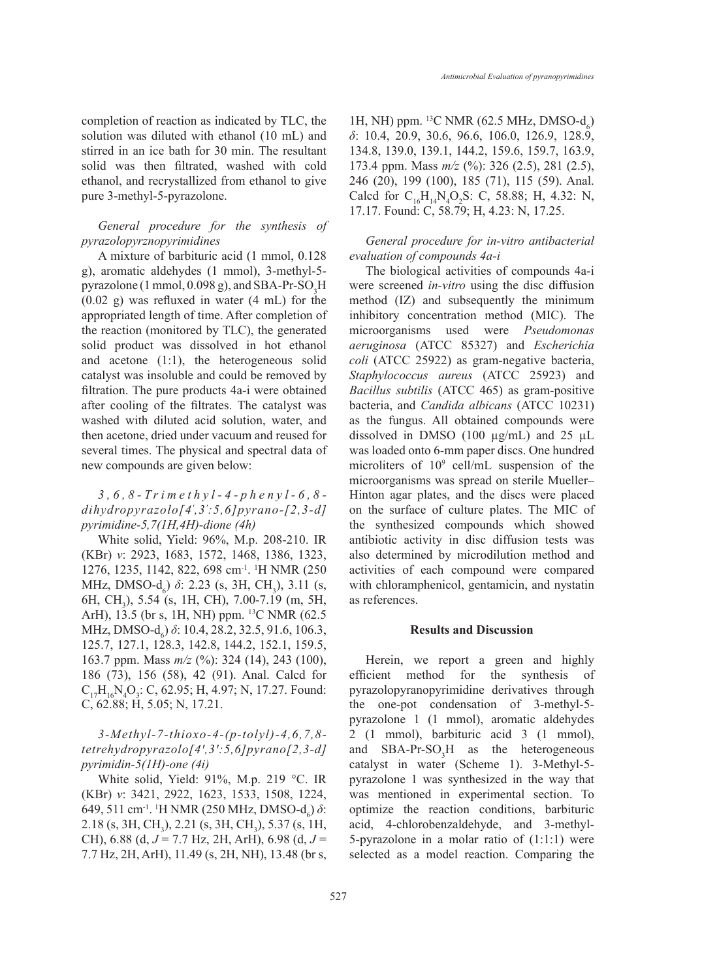completion of reaction as indicated by TLC, the solution was diluted with ethanol (10 mL) and stirred in an ice bath for 30 min. The resultant solid was then filtrated, washed with cold ethanol, and recrystallized from ethanol to give pure 3-methyl-5-pyrazolone.

## *General procedure for the synthesis of pyrazolopyrznopyrimidines*

A mixture of barbituric acid (1 mmol, 0.128 g), aromatic aldehydes (1 mmol), 3-methyl-5 pyrazolone (1 mmol, 0.098 g), and SBA-Pr-SO<sub>3</sub>H (0.02 g) was refluxed in water (4 mL) for the appropriated length of time. After completion of the reaction (monitored by TLC), the generated solid product was dissolved in hot ethanol and acetone (1:1), the heterogeneous solid catalyst was insoluble and could be removed by filtration. The pure products 4a-i were obtained after cooling of the filtrates. The catalyst was washed with diluted acid solution, water, and then acetone, dried under vacuum and reused for several times. The physical and spectral data of new compounds are given below:

## *3,6,8-Trimethyl-4-phenyl-6,8 dihydropyrazolo[4<sup>ꞌ</sup> ,3<sup>ꞌ</sup> :5,6]pyrano-[2,3-d] pyrimidine-5,7(1H,4H)-dione (4h)*

White solid, Yield: 96%, M.p. 208-210. IR (KBr) *ν*: 2923, 1683, 1572, 1468, 1386, 1323, 1276, 1235, 1142, 822, 698 cm-1. <sup>1</sup> H NMR (250 MHz, DMSO-d<sub>6</sub>) *δ*: 2.23 (s, 3H, CH<sub>3</sub>), 3.11 (s, 6H, CH<sub>3</sub>), 5.54 (s, 1H, CH), 7.00-7.19 (m, 5H, ArH), 13.5 (br s, 1H, NH) ppm. <sup>13</sup>C NMR (62.5) MHz, DMSO-d<sub>6</sub>) *δ*: 10.4, 28.2, 32.5, 91.6, 106.3, 125.7, 127.1, 128.3, 142.8, 144.2, 152.1, 159.5, 163.7 ppm. Mass *m/z* (%): 324 (14), 243 (100), 186 (73), 156 (58), 42 (91). Anal. Calcd for  $C_{17}H_{16}N_4O_3$ : C, 62.95; H, 4.97; N, 17.27. Found: C, 62.88; H, 5.05; N, 17.21.

## *3-Methyl-7-thioxo-4-(p-tolyl)-4,6,7,8 tetrehydropyrazolo[4ꞌ,3ꞌ:5,6]pyrano[2,3-d] pyrimidin-5(1H)-one (4i)*

White solid, Yield: 91%, M.p. 219 °C. IR (KBr) *ν*: 3421, 2922, 1623, 1533, 1508, 1224, 649, 511 cm<sup>-1</sup>. <sup>1</sup>H NMR (250 MHz, DMSO-d<sub>6</sub>) δ: 2.18 (s, 3H, CH<sub>3</sub>), 2.21 (s, 3H, CH<sub>3</sub>), 5.37 (s, 1H, CH), 6.88 (d, *J* = 7.7 Hz, 2H, ArH), 6.98 (d, *J* = 7.7 Hz, 2H, ArH), 11.49 (s, 2H, NH), 13.48 (br s,

1H, NH) ppm. <sup>13</sup>C NMR (62.5 MHz, DMSO- $d_6$ ) *δ*: 10.4, 20.9, 30.6, 96.6, 106.0, 126.9, 128.9, 134.8, 139.0, 139.1, 144.2, 159.6, 159.7, 163.9, 173.4 ppm. Mass *m/z* (%): 326 (2.5), 281 (2.5), 246 (20), 199 (100), 185 (71), 115 (59). Anal. Calcd for  $C_{16}H_{14}N_4O_2S$ : C, 58.88; H, 4.32: N, 17.17. Found: C, 58.79; H, 4.23: N, 17.25.

## *General procedure for in-vitro antibacterial evaluation of compounds 4a-i*

The biological activities of compounds 4a-i were screened *in-vitro* using the disc diffusion method (IZ) and subsequently the minimum inhibitory concentration method (MIC). The microorganisms used were *Pseudomonas aeruginosa* (ATCC 85327) and *Escherichia coli* (ATCC 25922) as gram-negative bacteria, *Staphylococcus aureus* (ATCC 25923) and *Bacillus subtilis* (ATCC 465) as gram-positive bacteria, and *Candida albicans* (ATCC 10231) as the fungus. All obtained compounds were dissolved in DMSO (100  $\mu$ g/mL) and 25  $\mu$ L was loaded onto 6-mm paper discs. One hundred microliters of 109 cell/mL suspension of the microorganisms was spread on sterile Mueller– Hinton agar plates, and the discs were placed on the surface of culture plates. The MIC of the synthesized compounds which showed antibiotic activity in disc diffusion tests was also determined by microdilution method and activities of each compound were compared with chloramphenicol, gentamicin, and nystatin as references.

### **Results and Discussion**

Herein, we report a green and highly efficient method for the synthesis of pyrazolopyranopyrimidine derivatives through the one-pot condensation of 3-methyl-5 pyrazolone 1 (1 mmol), aromatic aldehydes 2 (1 mmol), barbituric acid 3 (1 mmol), and  $SBA-Pr-SO<sub>3</sub>H$  as the heterogeneous catalyst in water (Scheme 1). 3-Methyl-5 pyrazolone 1 was synthesized in the way that was mentioned in experimental section. To optimize the reaction conditions, barbituric acid, 4-chlorobenzaldehyde, and 3-methyl-5-pyrazolone in a molar ratio of (1:1:1) were selected as a model reaction. Comparing the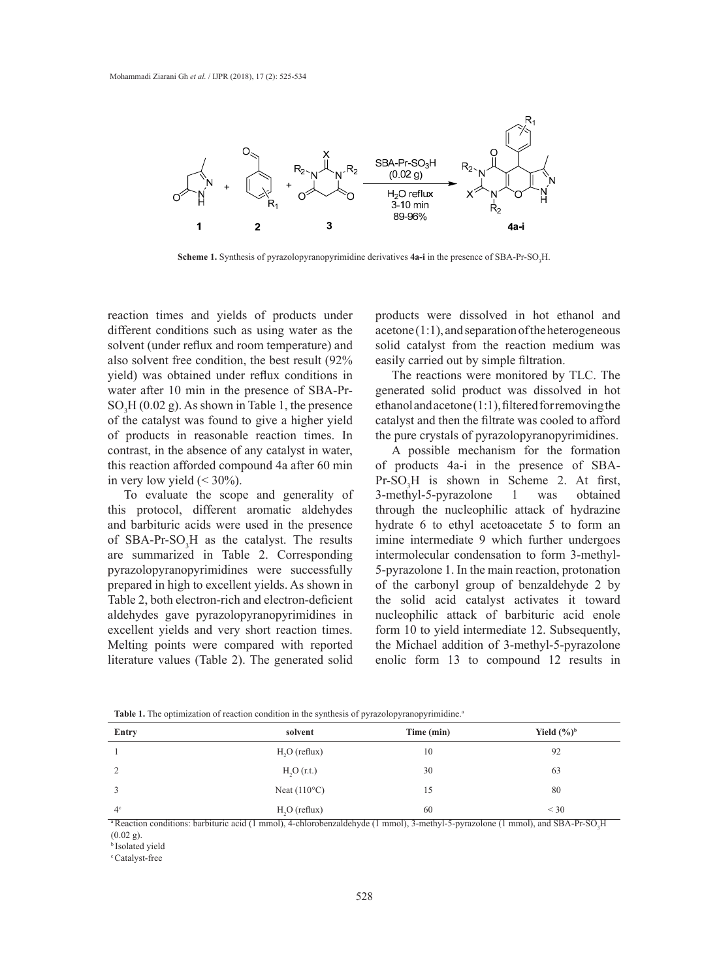

**Scheme 1.** Synthesis of pyrazolopyranopyrimidine derivatives **4a-i** in the presence of SBA-Pr-SO<sub>3</sub>H.

reaction times and yields of products under products were dissolved in hot different conditions such as using water as the solvent (under reflux and room temperature) and also solvent free condition, the best result (92% yield) was obtained under reflux conditions in water after 10 min in the presence of SBA-Pr- generated solid p  $SO<sub>3</sub>H$  (0.02 g). As shown in Table 1, the presence  $\frac{1}{2}$  of the catalyst was found to give a higher yield of products in reasonable reaction times. In contrast, in the absence of any catalyst in water, this reaction afforded compound 4a after 60 min in very low yield  $(< 30\%$ ).

To evaluate the scope and generality of this protocol, different aromatic aldehydes and barbituric acids were used in the presence of SBA-Pr-SO<sub>3</sub>H as the catalyst. The results are summarized in Table 2. Corresponding pyrazolopyranopyrimidines were successfully prepared in high to excellent yields. As shown in Table 2, both electron-rich and electron-deficient aldehydes gave pyrazolopyranopyrimidines in excellent yields and very short reaction times. Melting points were compared with reported literature values (Table 2). The generated solid products were dissolved in hot ethanol and  $a$ cetone  $(1:1)$ , and separation of the heterogeneous solid catalyst from the reaction medium was easily carried out by simple filtration.

The reactions were monitored by TLC. The generated solid product was dissolved in hot ethanol and acetone (1:1), filtered for removing the catalyst and then the filtrate was cooled to afford the pure crystals of pyrazolopyranopyrimidines.

A possible mechanism for the formation of products 4a-i in the presence of SBA- $Pr-SO<sub>3</sub>H$  is shown in Scheme 2. At first, 3-methyl-5-pyrazolone 1 was obtained through the nucleophilic attack of hydrazine hydrate 6 to ethyl acetoacetate 5 to form an imine intermediate 9 which further undergoes intermolecular condensation to form 3-methyl-5-pyrazolone 1. In the main reaction, protonation of the carbonyl group of benzaldehyde 2 by the solid acid catalyst activates it toward nucleophilic attack of barbituric acid enole form 10 to yield intermediate 12. Subsequently, the Michael addition of 3-methyl-5-pyrazolone enolic form 13 to compound 12 results in

| Time (min)<br>Entry<br>solvent |                        |    |                         |  |  |
|--------------------------------|------------------------|----|-------------------------|--|--|
|                                |                        |    | Yield $(\frac{6}{9})^b$ |  |  |
|                                | $H2O$ (reflux)         | 10 | 92                      |  |  |
| 2                              | H <sub>2</sub> O(r.t.) | 30 | 63                      |  |  |
|                                | Neat $(110^{\circ}C)$  | 15 | 80                      |  |  |
| 4 <sup>c</sup>                 | $H2O$ (reflux)         | 60 | $<$ 30                  |  |  |

**Table 1.** The optimization of reaction condition in the synthesis of pyrazolopyranopyrimidine.<sup>a</sup>

 $a_{\text{R}}$  Reaction conditions: barbituric acid (1 mmol), 4-chlorobenzaldehyde (1 mmol), 3-methyl-5-pyrazolone (1 mmol), and SBA-Pr-SO $a_{\text{R}}$ (0.02 g).

<sup>b</sup>Isolated yield

<sup>c</sup> Catalyst-free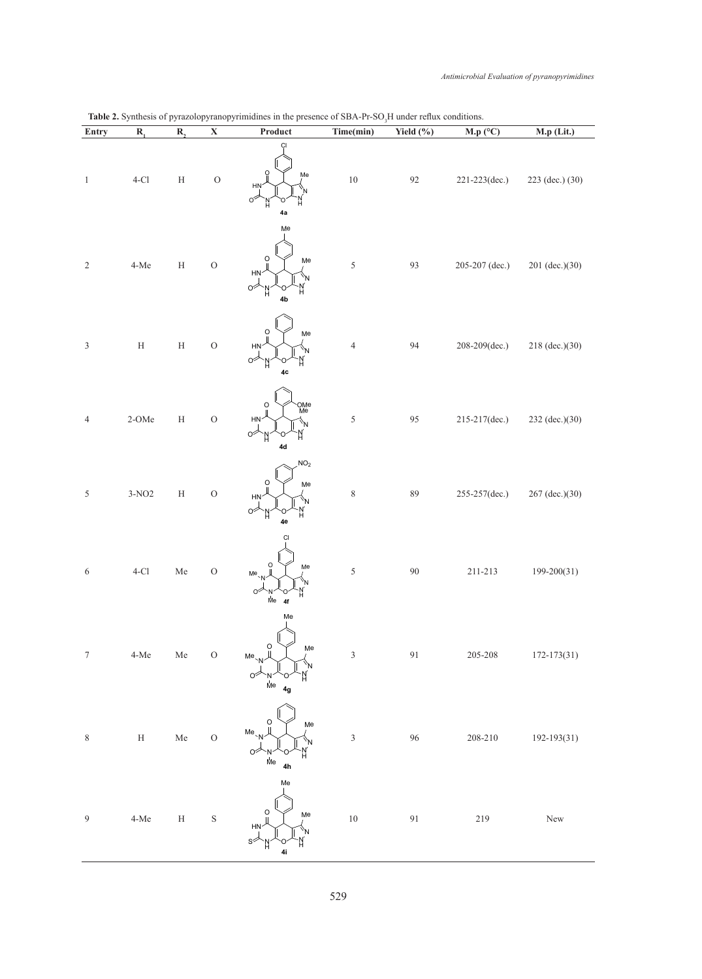| Entry                       | $\mathbf{R}_{1}$       | R,           | $\mathbf X$    | Product                                                                         | Time(min)               | Yield (%) | M.p (°C)         | M.p (Lit.)       |
|-----------------------------|------------------------|--------------|----------------|---------------------------------------------------------------------------------|-------------------------|-----------|------------------|------------------|
| $\mathbf{1}$                | $4-Cl$                 | $\mathbf H$  | $\mathcal O$   | ÇI<br>Ω<br>Me<br>HŅ<br>οŹ<br>ĥ<br>н<br>4a                                       | $10\,$                  | 92        | 221-223(dec.)    | 223 (dec.) (30)  |
| $\sqrt{2}$                  | $4 - Me$               | $\rm H$      | $\overline{O}$ | Me<br>O<br>Me<br>HN <sup>-</sup><br>'N<br>N<br>H<br>02<br>Ν<br>4b               | $\sqrt{5}$              | 93        | 205-207 (dec.)   | $201$ (dec.)(30) |
| $\ensuremath{\mathfrak{Z}}$ | $\rm H$                | $\rm H$      | $\overline{O}$ | O<br>Me<br><b>HN</b><br>'N<br>$\circ$<br>N<br>'n<br>4c                          | $\sqrt{4}$              | 94        | 208-209(dec.)    | 218 (dec.)(30)   |
| 4                           | 2-OMe                  | $\rm H$      | $\overline{O}$ | OMe<br>Me<br>$\circ$<br>HN <sub>1</sub><br>'N<br>'n<br>04<br>Ν<br>$4d$          | $\sqrt{5}$              | 95        | $215-217$ (dec.) | 232 (dec.)(30)   |
| $\sqrt{5}$                  | $3-NO2$                | $\rm H$      | $\overline{O}$ | NO <sub>2</sub><br>O<br>Me<br>HN<br>'N<br>N<br>℺<br>'n<br>4e                    | $\,$ $\,$               | 89        | 255-257(dec.)    | 267 (dec.)(30)   |
| $\sqrt{6}$                  | $4-Cl$                 | Me           | $\mathcal{O}$  | Сl<br>O<br>Me<br>$Me_{N}$<br>'N<br>o∕<br>N<br>U<br>Мe<br>4f                     | $\sqrt{5}$              | $90\,$    | $211 - 213$      | 199-200(31)      |
| $7\phantom{.0}$             | $4\mbox{-}\mathrm{Me}$ | ${\rm Me}$   | $\mathcal O$   | Me<br>O<br>Me<br>$Me_{N}$<br>$\circ$<br>$\mathring{\mathsf{M}}\mathsf{e}$<br>4g | $\mathfrak{Z}$          | 91        | 205-208          | $172 - 173(31)$  |
| $\,$ $\,$                   | $\mathbf H$            | ${\rm Me}$   | $\mathcal{O}$  | $\circ$<br>Me<br>$Me_{N}$<br>$\dot{\mathsf{M}}$ e<br>4h                         | $\overline{\mathbf{3}}$ | 96        | $208 - 210$      | 192-193(31)      |
| $\overline{9}$              | $4-Me$                 | $\, {\rm H}$ | $\rm S$        | Me<br>$\circ$<br>Me<br>HN<br>4i                                                 | $10\,$                  | $91\,$    | 219              | New              |

## $\text{H}$  SRA-Pr-SO H under reflux conditions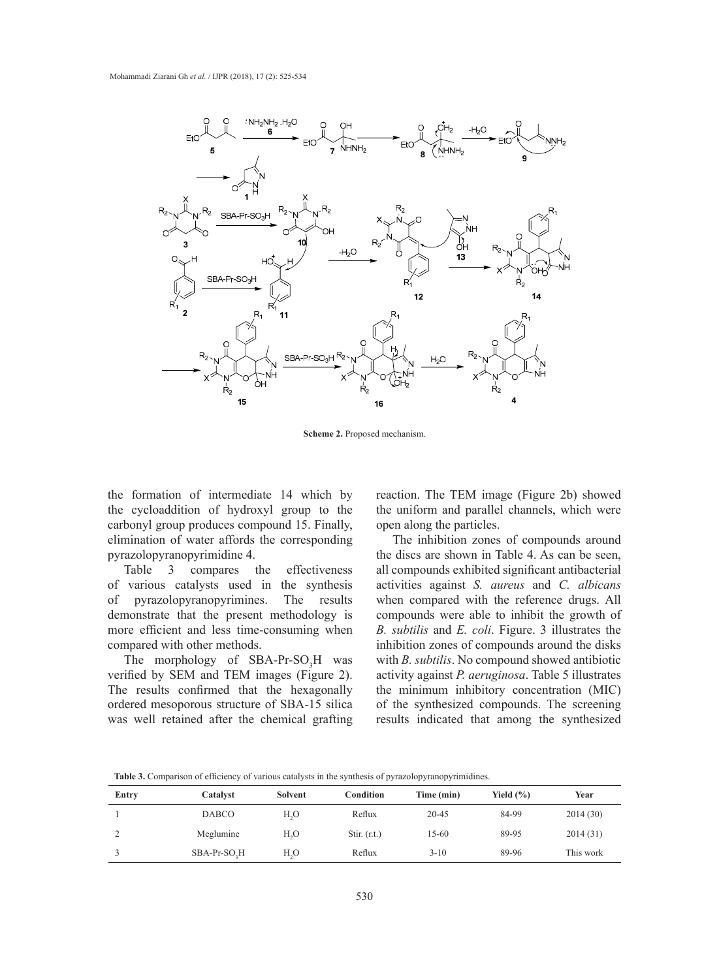

**Scheme 2.** Proposed mechanism.

the formation of intermediate 14 which by the cycloaddition of hydroxyl group to the carbonyl group produces compound 15. Finally, elimination of water affords the corresponding The inhibition zones of compounds pyrazolopyranopyrimidine 4. **Scheme 2.** Proposed mechanism.

Table 3 compares the effectiveness of various catalysts used in the synthesis activities against S. of pyrazolopyranopyrimines. The results demonstrate that the present methodology is more efficient and less time-consuming when compared with other methods.

The morphology of  $SBA-Pr-SO<sub>3</sub>H$  was verified by SEM and TEM images (Figure 2). The results confirmed that the hexagonally ordered mesoporous structure of SBA-15 silica was well retained after the chemical grafting

reaction. The TEM image (Figure 2b) showed the uniform and parallel channels, which were open along the particles.

The inhibition zones of compounds around the discs are shown in Table 4. As can be seen, particle of the effectiveness all compounds exhibited significant antibacterial compares the effectiveness all compounds exhibited significant antibacterial activities against *S. aureus* and *C. albicans*  when compared with the reference drugs. All compounds were able to inhibit the growth of *B. subtilis* and *E. coli*. Figure. 3 illustrates the inhibition zones of compounds around the disks with *B. subtilis*. No compound showed antibiotic activity against *P. aeruginosa*. Table 5 illustrates the minimum inhibitory concentration (MIC) of the synthesized compounds. The screening results indicated that among the synthesized

| <b>THOICE.</b> COMPAINON OF VIRTICITY OF THIONG VAINT TOW IN THE STRIKING OF PTIMOTOP TIMITOP TIMING. |                          |                  |                  |            |               |           |  |  |
|-------------------------------------------------------------------------------------------------------|--------------------------|------------------|------------------|------------|---------------|-----------|--|--|
| Entry                                                                                                 | Catalyst                 | Solvent          | <b>Condition</b> | Time (min) | Yield $(\% )$ | Year      |  |  |
|                                                                                                       | <b>DABCO</b>             | H <sub>2</sub> O | Reflux           | $20 - 45$  | 84-99         | 2014(30)  |  |  |
|                                                                                                       | Meglumine                | H <sub>2</sub> O | Stir. $(r.t.)$   | $15-60$    | 89-95         | 2014(31)  |  |  |
|                                                                                                       | SBA-Pr-SO <sub>2</sub> H | H <sub>2</sub> O | Reflux           | $3 - 10$   | 89-96         | This work |  |  |

**Table 3.** Comparison of efficiency of various catalysts in the synthesis of pyrazolopyranopyrimidines.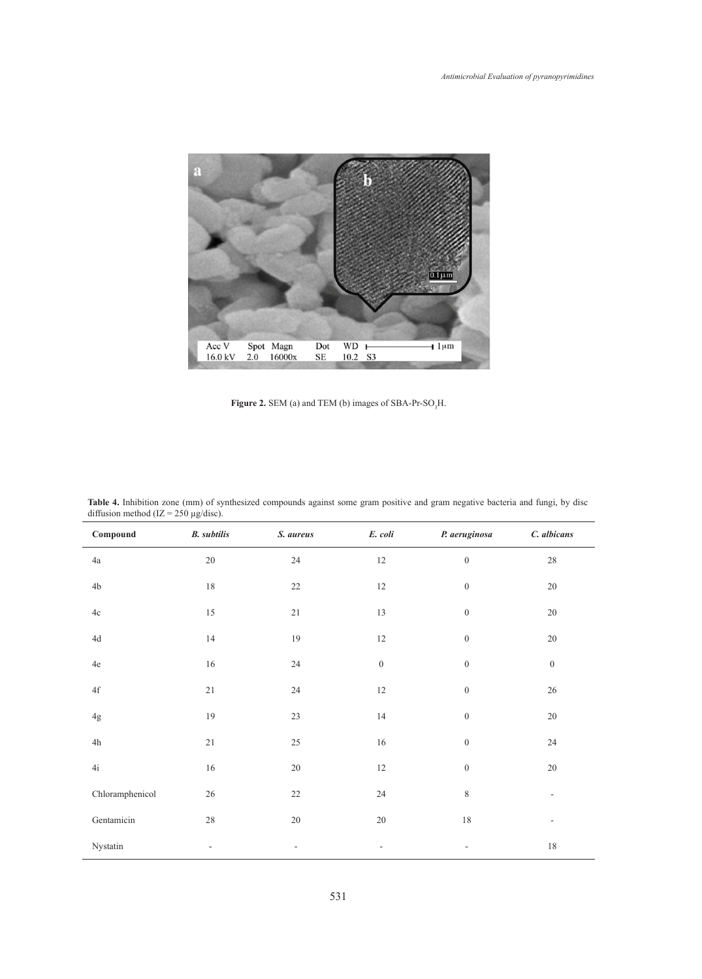

**Figure 2.** SEM (a) and TEM (b) images of SBA-Pr-SO<sub>3</sub>H.

| Compound                 | <b>B.</b> subtilis | S. aureus | E. coli          | P. aeruginosa    | C. albicans      |
|--------------------------|--------------------|-----------|------------------|------------------|------------------|
| $4\mathrm{a}$            | $20\,$             | 24        | $12\,$           | $\boldsymbol{0}$ | $28\,$           |
| 4 <sub>b</sub>           | $18\,$             | 22        | $12\,$           | $\boldsymbol{0}$ | $20\,$           |
| $4\mathrm{c}$            | $15\,$             | $21\,$    | $13\,$           | $\boldsymbol{0}$ | $20\,$           |
| $4\mathrm{d}$            | $14\,$             | 19        | $12\,$           | $\boldsymbol{0}$ | $20\,$           |
| $4\mathrm{e}$            | $16\,$             | $24\,$    | $\boldsymbol{0}$ | $\boldsymbol{0}$ | $\boldsymbol{0}$ |
| $4\ensuremath{\mbox{f}}$ | $21\,$             | $24\,$    | $12\,$           | $\boldsymbol{0}$ | $26\,$           |
| $4\mathrm{g}$            | 19                 | 23        | $14\,$           | $\boldsymbol{0}$ | $20\,$           |
| $4\mathrm{h}$            | $21\,$             | $25\,$    | $16\,$           | $\boldsymbol{0}$ | 24               |
| 4i                       | $16\,$             | $20\,$    | $12\,$           | $\boldsymbol{0}$ | $20\,$           |
| Chloramphenicol          | $26\,$             | $22\,$    | $24\,$           | $\,$ 8 $\,$      | $\overline{a}$   |
| Gentamicin               | $28\,$             | $20\,$    | $20\,$           | 18               |                  |
| Nystatin                 |                    | ٠         |                  |                  | $18\,$           |

**Table 4.** Inhibition zone (mm) of synthesized compounds against some gram positive and gram negative bacteria and fungi, by disc diffusion method (IZ =  $250 \mu g/disc$ ).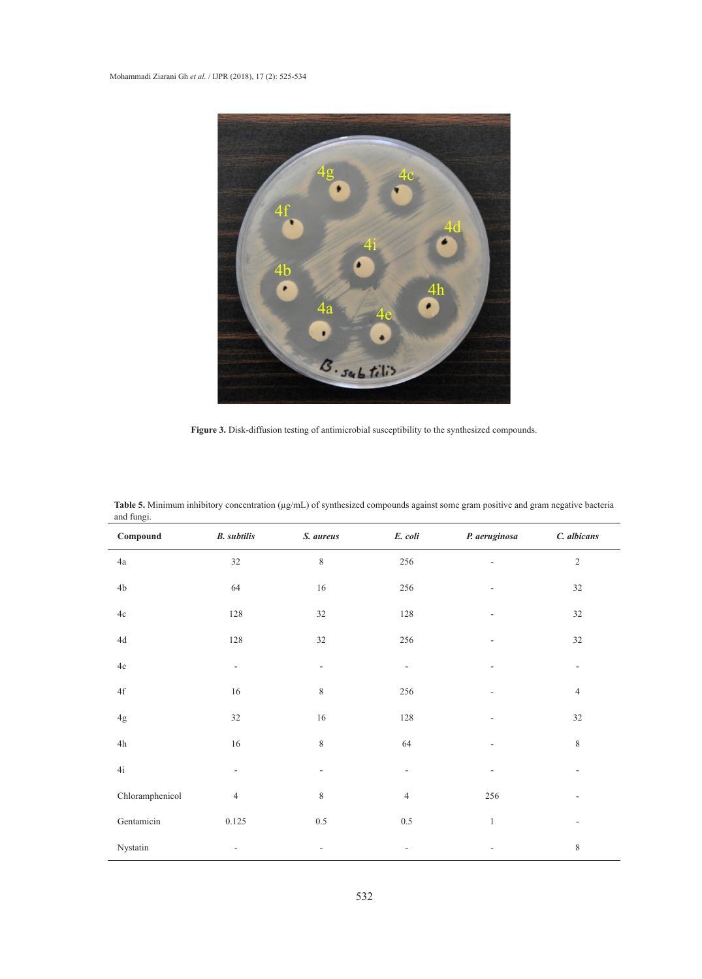

**Figure 3.** Disk-diffusion testing of antimicrobial susceptibility to the synthesized compounds.

| ana rangi.<br>$\label{subeq:compound} \textbf{Compound}$ | <b>B.</b> subtilis       | S. aureus                | $E.$ $\text{coli}$       | P. aeruginosa            | C. albicans              |
|----------------------------------------------------------|--------------------------|--------------------------|--------------------------|--------------------------|--------------------------|
| $4\mathrm{a}$                                            | $32\,$                   | $\,$ $\,$                | 256                      |                          | $\overline{c}$           |
| $4\mathrm{b}$                                            | 64                       | $16\,$                   | 256                      |                          | 32                       |
| $4\mathrm{c}$                                            | 128                      | 32                       | 128                      |                          | 32                       |
| $4\mathrm{d}$                                            | 128                      | 32                       | 256                      | ÷,                       | $32\,$                   |
| $4\mathrm{e}$                                            | $\overline{\phantom{a}}$ | $\overline{\phantom{a}}$ | $\overline{\phantom{a}}$ | $\overline{\phantom{0}}$ | $\overline{\phantom{a}}$ |
| $4\ensuremath{\text{f}}$                                 | $16\,$                   | 8                        | 256                      |                          | $\overline{4}$           |
| $4\mathrm{g}$                                            | 32                       | $16\,$                   | 128                      |                          | 32                       |
| $4\mathrm{h}$                                            | $16\,$                   | $\,$ $\,$                | 64                       | $\overline{a}$           | $\,$ $\,$                |
| 4i                                                       | $\overline{\phantom{a}}$ | $\overline{\phantom{a}}$ | $\overline{\phantom{a}}$ |                          |                          |
| Chloramphenicol                                          | $\overline{4}$           | 8                        | $\overline{4}$           | 256                      |                          |
| Gentamicin                                               | 0.125                    | $0.5\,$                  | $0.5\,$                  | $\mathbf{1}$             | $\overline{\phantom{a}}$ |
| Nystatin                                                 | $\overline{\phantom{a}}$ | $\overline{\phantom{a}}$ | $\overline{\phantom{a}}$ |                          | $\,$ $\,$                |

**Table 5.** Minimum inhibitory concentration (µg/mL) of synthesized compounds against some gram positive and gram negative bacteria and fungi.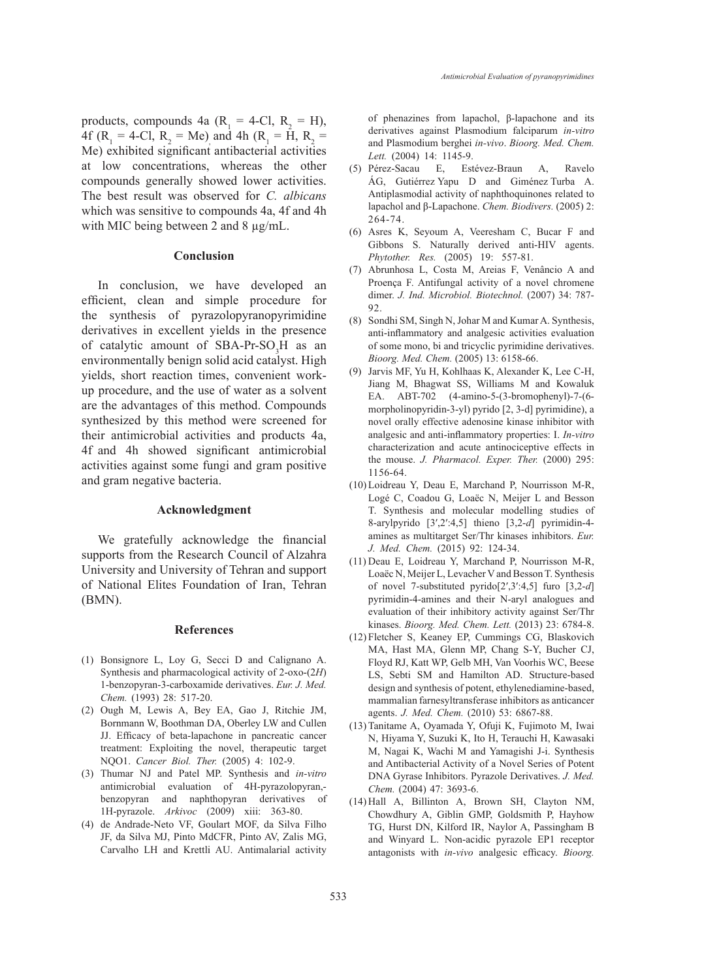products, compounds 4a ( $R_1 = 4$ -Cl,  $R_2 = H$ ), 4f ( $R_1 = 4$ -Cl,  $R_2 = Me$ ) and 4h ( $R_1 = H$ ,  $R_2 =$ Me) exhibited significant antibacterial activities at low concentrations, whereas the other compounds generally showed lower activities. The best result was observed for *C. albicans*  which was sensitive to compounds 4a, 4f and 4h with MIC being between 2 and 8  $\mu$ g/mL.

## **Conclusion**

In conclusion, we have developed an efficient, clean and simple procedure for the synthesis of pyrazolopyranopyrimidine derivatives in excellent yields in the presence of catalytic amount of  $SBA-Pr-SO_3H$  as an environmentally benign solid acid catalyst. High yields, short reaction times, convenient workup procedure, and the use of water as a solvent are the advantages of this method. Compounds synthesized by this method were screened for their antimicrobial activities and products 4a, 4f and 4h showed significant antimicrobial activities against some fungi and gram positive and gram negative bacteria.

### **Acknowledgment**

We gratefully acknowledge the financial supports from the Research Council of Alzahra University and University of Tehran and support of National Elites Foundation of Iran, Tehran (BMN).

### **References**

- (1) Bonsignore L, Loy G, Secci D and Calignano A. Synthesis and pharmacological activity of 2-oxo-(2*H*) 1-benzopyran-3-carboxamide derivatives. *Eur. J. Med. Chem.* (1993) 28: 517-20.
- (2) Ough M, Lewis A, Bey EA, Gao J, Ritchie JM, Bornmann W, Boothman DA, Oberley LW and Cullen JJ. Efficacy of beta-lapachone in pancreatic cancer treatment: Exploiting the novel, therapeutic target NQO1. *Cancer Biol. Ther.* (2005) 4: 102-9.
- (3) Thumar NJ and Patel MP. Synthesis and *in-vitro* antimicrobial evaluation of 4H-pyrazolopyran, benzopyran and naphthopyran derivatives 1H-pyrazole. *Arkivoc* (2009) xiii: 363-80.
- (4) de Andrade-Neto VF, Goulart MOF, da Silva Filho JF, da Silva MJ, Pinto MdCFR, Pinto AV, Zalis MG, Carvalho LH and Krettli AU. Antimalarial activity

of phenazines from lapachol, β-lapachone and its derivatives against Plasmodium falciparum *in-vitro* and Plasmodium berghei *in-vivo*. *Bioorg. Med. Chem. Lett.* (2004) 14: 1145-9.

- Pérez-Sacau E, Estévez-Braun A, Ravelo (5) ÁG, Gutiérrez Yapu D and Giménez Turba A. Antiplasmodial activity of naphthoquinones related to lapachol and β-Lapachone. *Chem. Biodivers.* (2005) 2: 264-74.
- Asres K, Seyoum A, Veeresham C, Bucar F and (6) Gibbons S. Naturally derived anti-HIV agents. *Phytother. Res.* (2005) 19: 557-81.
- Abrunhosa L, Costa M, Areias F, Venâncio A and (7) Proença F. Antifungal activity of a novel chromene dimer. *J. Ind. Microbiol. Biotechnol.* (2007) 34: 787- 92.
- (8) Sondhi SM, Singh N, Johar M and Kumar A. Synthesis, anti-inflammatory and analgesic activities evaluation of some mono, bi and tricyclic pyrimidine derivatives. *Bioorg. Med. Chem.* (2005) 13: 6158-66.
- (9) Jarvis MF, Yu H, Kohlhaas K, Alexander K, Lee C-H, Jiang M, Bhagwat SS, Williams M and Kowaluk EA. ABT-702 (4-amino-5-(3-bromophenyl)-7-(6 morpholinopyridin-3-yl) pyrido [2, 3-d] pyrimidine), a novel orally effective adenosine kinase inhibitor with analgesic and anti-inflammatory properties: I. *In-vitro* characterization and acute antinociceptive effects in the mouse. *J. Pharmacol. Exper. Ther.* (2000) 295: 1156-64.
- (10) Loidreau Y, Deau E, Marchand P, Nourrisson M-R, Logé C, Coadou G, Loaëc N, Meijer L and Besson T. Synthesis and molecular modelling studies of 8-arylpyrido [3′,2′:4,5] thieno [3,2-*d*] pyrimidin-4 amines as multitarget Ser/Thr kinases inhibitors. *Eur. J. Med. Chem.* (2015) 92: 124-34.
- $(11)$  Deau E, Loidreau Y, Marchand P, Nourrisson M-R, Loaëc N, Meijer L, Levacher V and Besson T. Synthesis of novel 7-substituted pyrido[2′,3′:4,5] furo [3,2-*d*] pyrimidin-4-amines and their N-aryl analogues and evaluation of their inhibitory activity against Ser/Thr kinases. *Bioorg. Med. Chem. Lett.* (2013) 23: 6784-8.
- Fletcher S, Keaney EP, Cummings CG, Blaskovich (12) MA, Hast MA, Glenn MP, Chang S-Y, Bucher CJ, Floyd RJ, Katt WP, Gelb MH, Van Voorhis WC, Beese LS, Sebti SM and Hamilton AD. Structure-based design and synthesis of potent, ethylenediamine-based, mammalian farnesyltransferase inhibitors as anticancer agents. *J. Med. Chem.* (2010) 53: 6867-88.
- (13) Tanitame A, Oyamada Y, Ofuji K, Fujimoto M, Iwai N, Hiyama Y, Suzuki K, Ito H, Terauchi H, Kawasaki M, Nagai K, Wachi M and Yamagishi J-i. Synthesis and Antibacterial Activity of a Novel Series of Potent DNA Gyrase Inhibitors. Pyrazole Derivatives. *J. Med. Chem.* (2004) 47: 3693-6.
- $(14)$  Hall A, Billinton A, Brown SH, Clayton NM, Chowdhury A, Giblin GMP, Goldsmith P, Hayhow TG, Hurst DN, Kilford IR, Naylor A, Passingham B and Winyard L. Non-acidic pyrazole EP1 receptor antagonists with *in-vivo* analgesic efficacy. *Bioorg.*